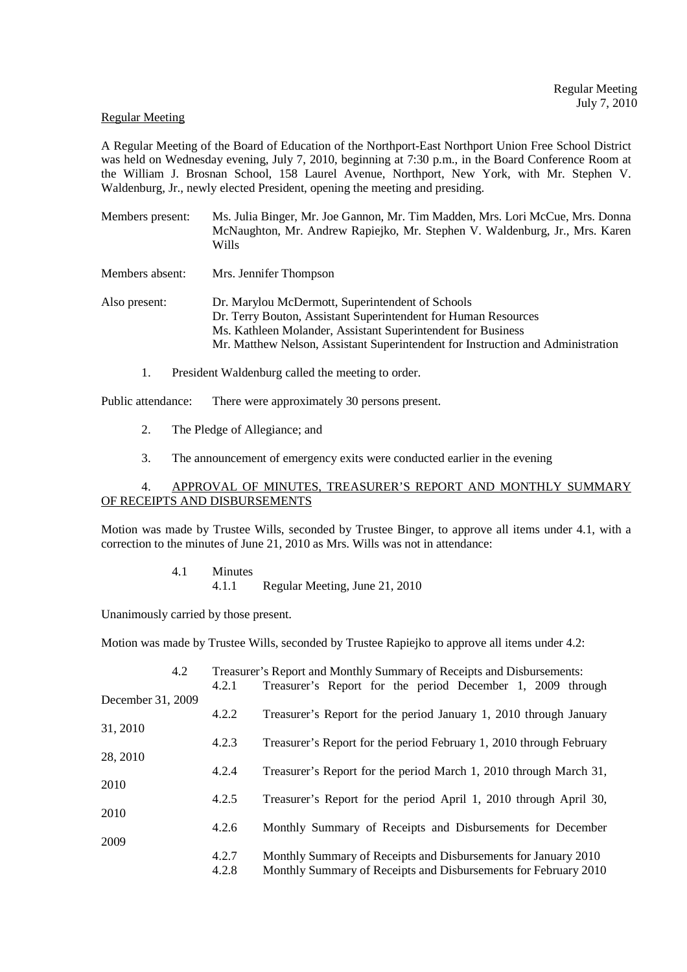#### Regular Meeting

A Regular Meeting of the Board of Education of the Northport-East Northport Union Free School District was held on Wednesday evening, July 7, 2010, beginning at 7:30 p.m., in the Board Conference Room at the William J. Brosnan School, 158 Laurel Avenue, Northport, New York, with Mr. Stephen V. Waldenburg, Jr., newly elected President, opening the meeting and presiding.

- Members present: Ms. Julia Binger, Mr. Joe Gannon, Mr. Tim Madden, Mrs. Lori McCue, Mrs. Donna McNaughton, Mr. Andrew Rapiejko, Mr. Stephen V. Waldenburg, Jr., Mrs. Karen Wills
- Members absent: Mrs. Jennifer Thompson

Also present: Dr. Marylou McDermott, Superintendent of Schools Dr. Terry Bouton, Assistant Superintendent for Human Resources Ms. Kathleen Molander, Assistant Superintendent for Business Mr. Matthew Nelson, Assistant Superintendent for Instruction and Administration

1. President Waldenburg called the meeting to order.

Public attendance: There were approximately 30 persons present.

- 2. The Pledge of Allegiance; and
- 3. The announcement of emergency exits were conducted earlier in the evening

## 4. APPROVAL OF MINUTES, TREASURER'S REPORT AND MONTHLY SUMMARY OF RECEIPTS AND DISBURSEMENTS

Motion was made by Trustee Wills, seconded by Trustee Binger, to approve all items under 4.1, with a correction to the minutes of June 21, 2010 as Mrs. Wills was not in attendance:

> 4.1 Minutes 4.1.1 Regular Meeting, June 21, 2010

Unanimously carried by those present.

Motion was made by Trustee Wills, seconded by Trustee Rapiejko to approve all items under 4.2:

| 4.2               |       | Treasurer's Report and Monthly Summary of Receipts and Disbursements: |
|-------------------|-------|-----------------------------------------------------------------------|
|                   | 4.2.1 | Treasurer's Report for the period December 1, 2009 through            |
| December 31, 2009 |       |                                                                       |
| 31, 2010          | 4.2.2 | Treasurer's Report for the period January 1, 2010 through January     |
|                   | 4.2.3 | Treasurer's Report for the period February 1, 2010 through February   |
| 28, 2010          |       |                                                                       |
|                   | 4.2.4 | Treasurer's Report for the period March 1, 2010 through March 31,     |
| 2010              |       |                                                                       |
|                   | 4.2.5 | Treasurer's Report for the period April 1, 2010 through April 30,     |
| 2010              | 4.2.6 | Monthly Summary of Receipts and Disbursements for December            |
| 2009              |       |                                                                       |
|                   | 4.2.7 | Monthly Summary of Receipts and Disbursements for January 2010        |
|                   | 4.2.8 | Monthly Summary of Receipts and Disbursements for February 2010       |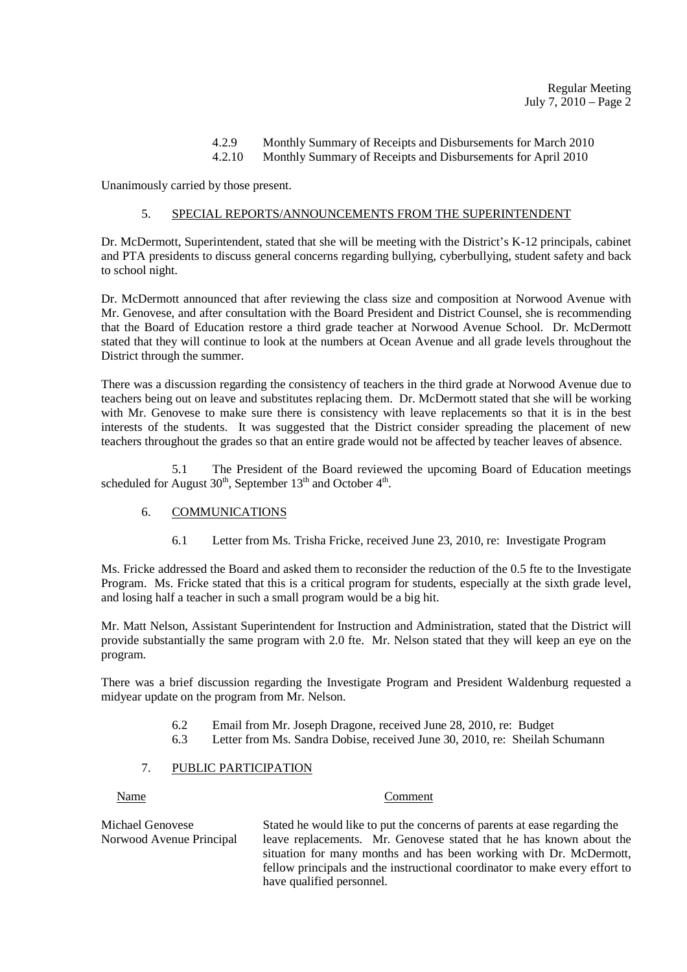# 4.2.9 Monthly Summary of Receipts and Disbursements for March 2010

4.2.10 Monthly Summary of Receipts and Disbursements for April 2010

Unanimously carried by those present.

## 5. SPECIAL REPORTS/ANNOUNCEMENTS FROM THE SUPERINTENDENT

Dr. McDermott, Superintendent, stated that she will be meeting with the District's K-12 principals, cabinet and PTA presidents to discuss general concerns regarding bullying, cyberbullying, student safety and back to school night.

Dr. McDermott announced that after reviewing the class size and composition at Norwood Avenue with Mr. Genovese, and after consultation with the Board President and District Counsel, she is recommending that the Board of Education restore a third grade teacher at Norwood Avenue School. Dr. McDermott stated that they will continue to look at the numbers at Ocean Avenue and all grade levels throughout the District through the summer.

There was a discussion regarding the consistency of teachers in the third grade at Norwood Avenue due to teachers being out on leave and substitutes replacing them. Dr. McDermott stated that she will be working with Mr. Genovese to make sure there is consistency with leave replacements so that it is in the best interests of the students. It was suggested that the District consider spreading the placement of new teachers throughout the grades so that an entire grade would not be affected by teacher leaves of absence.

5.1 The President of the Board reviewed the upcoming Board of Education meetings scheduled for August  $30<sup>th</sup>$ , September  $13<sup>th</sup>$  and October  $4<sup>th</sup>$ .

## 6. COMMUNICATIONS

6.1 Letter from Ms. Trisha Fricke, received June 23, 2010, re: Investigate Program

Ms. Fricke addressed the Board and asked them to reconsider the reduction of the 0.5 fte to the Investigate Program. Ms. Fricke stated that this is a critical program for students, especially at the sixth grade level, and losing half a teacher in such a small program would be a big hit.

Mr. Matt Nelson, Assistant Superintendent for Instruction and Administration, stated that the District will provide substantially the same program with 2.0 fte. Mr. Nelson stated that they will keep an eye on the program.

There was a brief discussion regarding the Investigate Program and President Waldenburg requested a midyear update on the program from Mr. Nelson.

- 6.2 Email from Mr. Joseph Dragone, received June 28, 2010, re: Budget
- 6.3 Letter from Ms. Sandra Dobise, received June 30, 2010, re: Sheilah Schumann

## 7. PUBLIC PARTICIPATION

#### Name Comment

Michael Genovese Stated he would like to put the concerns of parents at ease regarding the Norwood Avenue Principal leave replacements. Mr. Genovese stated that he has known about the situation for many months and has been working with Dr. McDermott, fellow principals and the instructional coordinator to make every effort to have qualified personnel.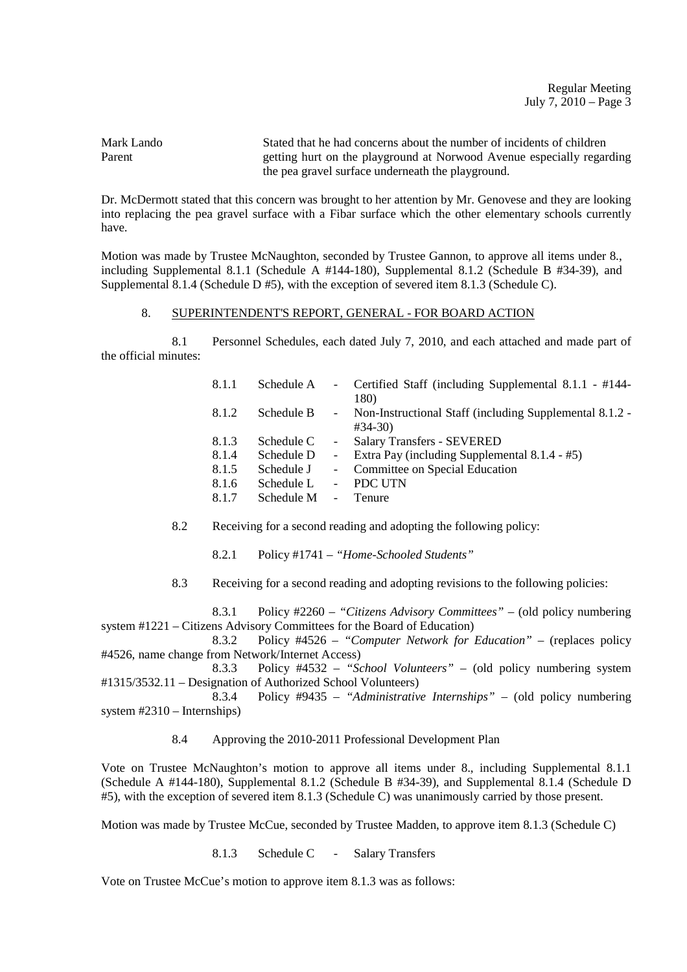Regular Meeting July 7,  $2010$  – Page  $3$ 

Mark Lando Stated that he had concerns about the number of incidents of children Parent getting hurt on the playground at Norwood Avenue especially regarding the pea gravel surface underneath the playground.

Dr. McDermott stated that this concern was brought to her attention by Mr. Genovese and they are looking into replacing the pea gravel surface with a Fibar surface which the other elementary schools currently have.

Motion was made by Trustee McNaughton, seconded by Trustee Gannon, to approve all items under 8., including Supplemental 8.1.1 (Schedule A #144-180), Supplemental 8.1.2 (Schedule B #34-39), and Supplemental 8.1.4 (Schedule D #5), with the exception of severed item 8.1.3 (Schedule C).

#### 8. SUPERINTENDENT'S REPORT, GENERAL - FOR BOARD ACTION

 8.1 Personnel Schedules, each dated July 7, 2010, and each attached and made part of the official minutes:

| 8.1.1 | Schedule A |                     | - Certified Staff (including Supplemental 8.1.1 - #144-         |
|-------|------------|---------------------|-----------------------------------------------------------------|
| 8.1.2 | Schedule B | $-$                 | 180)<br>Non-Instructional Staff (including Supplemental 8.1.2 - |
|       |            |                     | $#34-30)$                                                       |
| 8.1.3 | Schedule C |                     | <b>Salary Transfers - SEVERED</b>                               |
| 8.1.4 | Schedule D | $\omega_{\rm{max}}$ | Extra Pay (including Supplemental 8.1.4 - #5)                   |
| 8.1.5 | Schedule J | $\sim$              | Committee on Special Education                                  |
| 8.1.6 | Schedule L |                     | <b>PDC UTN</b>                                                  |
| 8.1.7 | Schedule M | $\sim$              | Tenure                                                          |
|       |            |                     |                                                                 |

8.2 Receiving for a second reading and adopting the following policy:

8.2.1 Policy #1741 – *"Home-Schooled Students"*

8.3 Receiving for a second reading and adopting revisions to the following policies:

 8.3.1 Policy #2260 – *"Citizens Advisory Committees"* – (old policy numbering system #1221 – Citizens Advisory Committees for the Board of Education)<br>8.3.2 Policy #4526 – "Computer Network for

 8.3.2 Policy #4526 – *"Computer Network for Education"* – (replaces policy #4526, name change from Network/Internet Access)

 8.3.3 Policy #4532 – *"School Volunteers"* – (old policy numbering system #1315/3532.11 – Designation of Authorized School Volunteers)

 8.3.4 Policy #9435 – *"Administrative Internships"* – (old policy numbering system #2310 – Internships)

8.4 Approving the 2010-2011 Professional Development Plan

Vote on Trustee McNaughton's motion to approve all items under 8., including Supplemental 8.1.1 (Schedule A #144-180), Supplemental 8.1.2 (Schedule B #34-39), and Supplemental 8.1.4 (Schedule D #5), with the exception of severed item 8.1.3 (Schedule C) was unanimously carried by those present.

Motion was made by Trustee McCue, seconded by Trustee Madden, to approve item 8.1.3 (Schedule C)

8.1.3 Schedule C - Salary Transfers

Vote on Trustee McCue's motion to approve item 8.1.3 was as follows: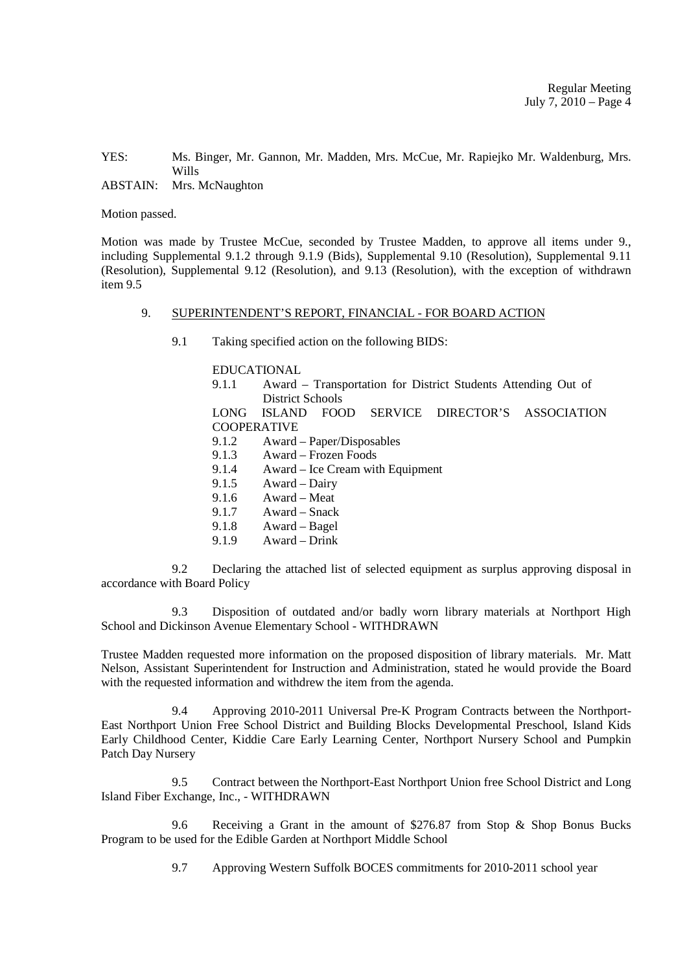YES: Ms. Binger, Mr. Gannon, Mr. Madden, Mrs. McCue, Mr. Rapiejko Mr. Waldenburg, Mrs. Wills

ABSTAIN: Mrs. McNaughton

Motion passed.

Motion was made by Trustee McCue, seconded by Trustee Madden, to approve all items under 9., including Supplemental 9.1.2 through 9.1.9 (Bids), Supplemental 9.10 (Resolution), Supplemental 9.11 (Resolution), Supplemental 9.12 (Resolution), and 9.13 (Resolution), with the exception of withdrawn item 9.5

#### 9. SUPERINTENDENT'S REPORT, FINANCIAL - FOR BOARD ACTION

9.1 Taking specified action on the following BIDS:

#### EDUCATIONAL

 9.1.1 Award – Transportation for District Students Attending Out of District Schools

 LONG ISLAND FOOD SERVICE DIRECTOR'S ASSOCIATION **COOPERATIVE** 

- 9.1.2 Award Paper/Disposables
- 9.1.3 Award Frozen Foods
- 9.1.4 Award Ice Cream with Equipment
- 9.1.5 Award Dairy
- 9.1.6 Award Meat
- 9.1.7 Award Snack
- 9.1.8 Award Bagel
- 9.1.9 Award Drink

 9.2 Declaring the attached list of selected equipment as surplus approving disposal in accordance with Board Policy

 9.3 Disposition of outdated and/or badly worn library materials at Northport High School and Dickinson Avenue Elementary School - WITHDRAWN

Trustee Madden requested more information on the proposed disposition of library materials. Mr. Matt Nelson, Assistant Superintendent for Instruction and Administration, stated he would provide the Board with the requested information and withdrew the item from the agenda.

 9.4 Approving 2010-2011 Universal Pre-K Program Contracts between the Northport-East Northport Union Free School District and Building Blocks Developmental Preschool, Island Kids Early Childhood Center, Kiddie Care Early Learning Center, Northport Nursery School and Pumpkin Patch Day Nursery

 9.5 Contract between the Northport-East Northport Union free School District and Long Island Fiber Exchange, Inc., - WITHDRAWN

 9.6 Receiving a Grant in the amount of \$276.87 from Stop & Shop Bonus Bucks Program to be used for the Edible Garden at Northport Middle School

9.7 Approving Western Suffolk BOCES commitments for 2010-2011 school year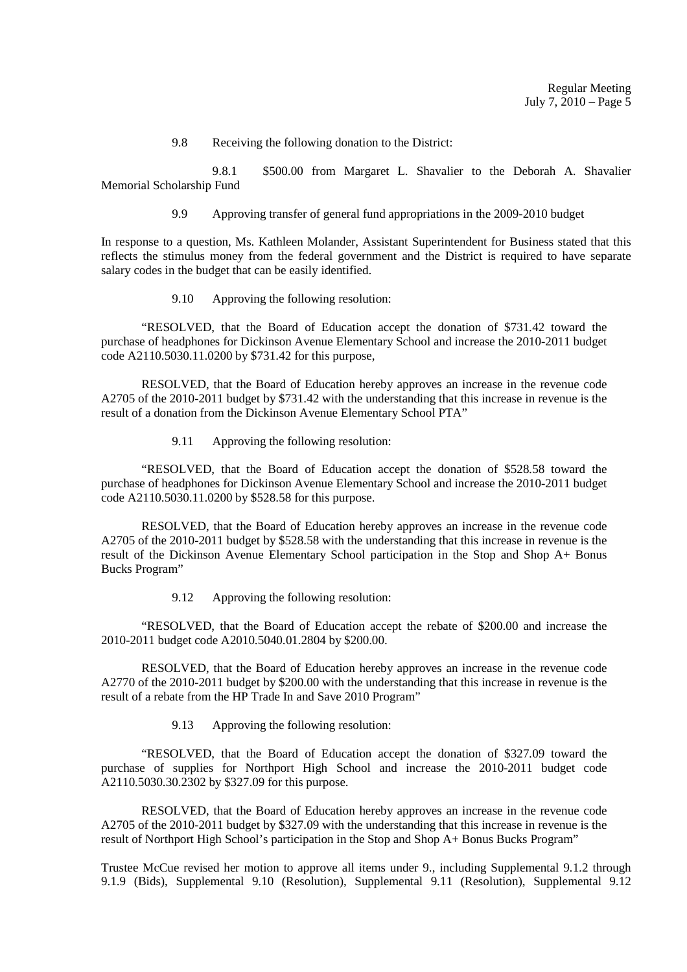9.8 Receiving the following donation to the District:

 9.8.1 \$500.00 from Margaret L. Shavalier to the Deborah A. Shavalier Memorial Scholarship Fund

9.9 Approving transfer of general fund appropriations in the 2009-2010 budget

In response to a question, Ms. Kathleen Molander, Assistant Superintendent for Business stated that this reflects the stimulus money from the federal government and the District is required to have separate salary codes in the budget that can be easily identified.

9.10 Approving the following resolution:

 "RESOLVED, that the Board of Education accept the donation of \$731.42 toward the purchase of headphones for Dickinson Avenue Elementary School and increase the 2010-2011 budget code A2110.5030.11.0200 by \$731.42 for this purpose,

 RESOLVED, that the Board of Education hereby approves an increase in the revenue code A2705 of the 2010-2011 budget by \$731.42 with the understanding that this increase in revenue is the result of a donation from the Dickinson Avenue Elementary School PTA"

9.11 Approving the following resolution:

 "RESOLVED, that the Board of Education accept the donation of \$528.58 toward the purchase of headphones for Dickinson Avenue Elementary School and increase the 2010-2011 budget code A2110.5030.11.0200 by \$528.58 for this purpose.

 RESOLVED, that the Board of Education hereby approves an increase in the revenue code A2705 of the 2010-2011 budget by \$528.58 with the understanding that this increase in revenue is the result of the Dickinson Avenue Elementary School participation in the Stop and Shop A+ Bonus Bucks Program"

9.12 Approving the following resolution:

 "RESOLVED, that the Board of Education accept the rebate of \$200.00 and increase the 2010-2011 budget code A2010.5040.01.2804 by \$200.00.

 RESOLVED, that the Board of Education hereby approves an increase in the revenue code A2770 of the 2010-2011 budget by \$200.00 with the understanding that this increase in revenue is the result of a rebate from the HP Trade In and Save 2010 Program"

9.13 Approving the following resolution:

 "RESOLVED, that the Board of Education accept the donation of \$327.09 toward the purchase of supplies for Northport High School and increase the 2010-2011 budget code A2110.5030.30.2302 by \$327.09 for this purpose.

 RESOLVED, that the Board of Education hereby approves an increase in the revenue code A2705 of the 2010-2011 budget by \$327.09 with the understanding that this increase in revenue is the result of Northport High School's participation in the Stop and Shop A+ Bonus Bucks Program"

Trustee McCue revised her motion to approve all items under 9., including Supplemental 9.1.2 through 9.1.9 (Bids), Supplemental 9.10 (Resolution), Supplemental 9.11 (Resolution), Supplemental 9.12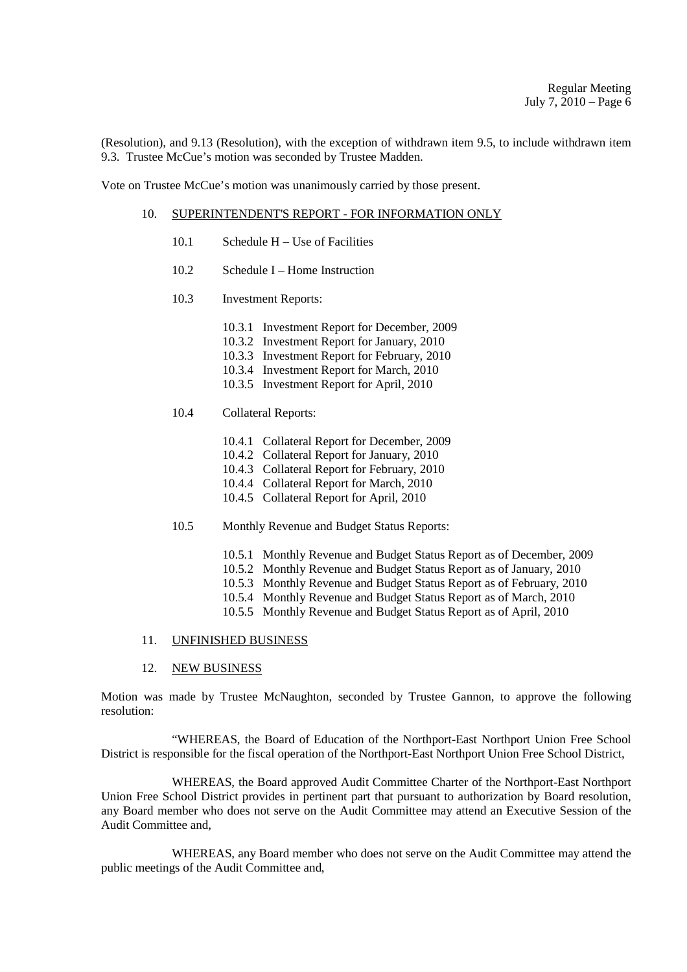(Resolution), and 9.13 (Resolution), with the exception of withdrawn item 9.5, to include withdrawn item 9.3. Trustee McCue's motion was seconded by Trustee Madden.

Vote on Trustee McCue's motion was unanimously carried by those present.

#### 10. SUPERINTENDENT'S REPORT - FOR INFORMATION ONLY

- 10.1 Schedule H Use of Facilities
- 10.2 Schedule I Home Instruction
- 10.3 Investment Reports:
	- 10.3.1 Investment Report for December, 2009
	- 10.3.2 Investment Report for January, 2010
	- 10.3.3 Investment Report for February, 2010
	- 10.3.4 Investment Report for March, 2010
	- 10.3.5 Investment Report for April, 2010

## 10.4 Collateral Reports:

- 10.4.1 Collateral Report for December, 2009
- 10.4.2 Collateral Report for January, 2010
- 10.4.3 Collateral Report for February, 2010
- 10.4.4 Collateral Report for March, 2010
- 10.4.5 Collateral Report for April, 2010
- 10.5 Monthly Revenue and Budget Status Reports:
	- 10.5.1 Monthly Revenue and Budget Status Report as of December, 2009
	- 10.5.2 Monthly Revenue and Budget Status Report as of January, 2010
	- 10.5.3 Monthly Revenue and Budget Status Report as of February, 2010
	- 10.5.4 Monthly Revenue and Budget Status Report as of March, 2010
	- 10.5.5 Monthly Revenue and Budget Status Report as of April, 2010

### 11. UNFINISHED BUSINESS

12. NEW BUSINESS

Motion was made by Trustee McNaughton, seconded by Trustee Gannon, to approve the following resolution:

 "WHEREAS, the Board of Education of the Northport-East Northport Union Free School District is responsible for the fiscal operation of the Northport-East Northport Union Free School District,

 WHEREAS, the Board approved Audit Committee Charter of the Northport-East Northport Union Free School District provides in pertinent part that pursuant to authorization by Board resolution, any Board member who does not serve on the Audit Committee may attend an Executive Session of the Audit Committee and,

 WHEREAS, any Board member who does not serve on the Audit Committee may attend the public meetings of the Audit Committee and,